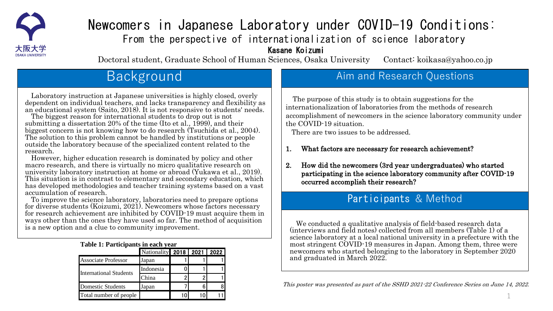

# Newcomers in Japanese Laboratory under COVID-19 Conditions: From the perspective of internationalization of science laboratory Kasane Koizumi

Doctoral student, Graduate School of Human Sciences, Osaka University Contact: koikasa@yahoo.co.jp

# Background

Laboratory instruction at Japanese universities is highly closed, overly dependent on individual teachers, and lacks transparency and flexibility as an educational system (Saito, 2018). It is not responsive to students' needs.

The biggest reason for international students to drop out is not submitting a dissertation 20% of the time (Ito et al., 1999), and their biggest concern is not knowing how to do research (Tsuchida et al., 2004). The solution to this problem cannot be handled by institutions or people outside the laboratory because of the specialized content related to the research.

However, higher education research is dominated by policy and other macro research, and there is virtually no micro qualitative research on university laboratory instruction at home or abroad (Yukawa et al., 2019). This situation is in contrast to elementary and secondary education, which has developed methodologies and teacher training systems based on a vast accumulation of research.

To improve the science laboratory, laboratories need to prepare options for diverse students (Koizumi, 2021). Newcomers whose factors necessary for research achievement are inhibited by COVID-19 must acquire them in ways other than the ones they have used so far. The method of acquisition is a new option and a clue to community improvement.

#### **Table 1: Participants in each year**

|                               | Nationality   2018   2021   2022 |  |  |  |
|-------------------------------|----------------------------------|--|--|--|
| <b>Associate Professor</b>    | Japan                            |  |  |  |
| <b>International Students</b> | Indonesia                        |  |  |  |
|                               | . "hina                          |  |  |  |
| <b>Domestic Students</b>      | Japan                            |  |  |  |
| Total number of people        |                                  |  |  |  |

## Aim and Research Questions

The purpose of this study is to obtain suggestions for the internationalization of laboratories from the methods of research accomplishment of newcomers in the science laboratory community under the COVID-19 situation.

There are two issues to be addressed.

- 1. What factors are necessary for research achievement?
- 2. How did the newcomers (3rd year undergraduates) who started participating in the science laboratory community after COVID-19 occurred accomplish their research?

### Participants & Method

We conducted a qualitative analysis of field-based research data (interviews and field notes) collected from all members (Table 1) of a science laboratory at a local national university in a prefecture with the most stringent COVID-19 measures in Japan. Among them, three were newcomers who started belonging to the laboratory in September 2020 and graduated in March 2022.

This poster was presented as part of the SSHD 2021-22 Conference Series on June 14, 2022.